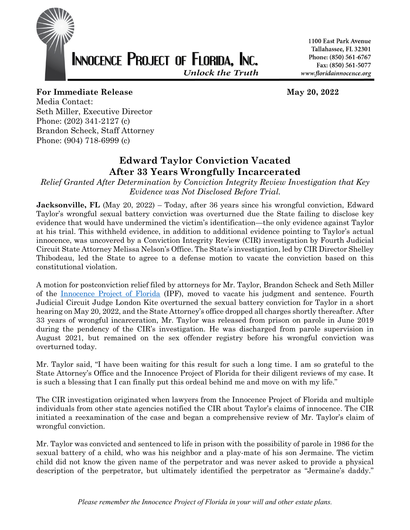

1100 East Park Avenue Tallahassee, FL 32301 Phone: (850) 561-6767 Fax: (850) 561-5077 www.floridainnocence.org

## **For Immediate Release May 20, 2022**

Media Contact: Seth Miller, Executive Director Phone: (202) 341-2127 (c) Brandon Scheck, Staff Attorney Phone: (904) 718-6999 (c)

## **Edward Taylor Conviction Vacated After 33 Years Wrongfully Incarcerated**

*Relief Granted After Determination by Conviction Integrity Review Investigation that Key Evidence was Not Disclosed Before Trial.*

**Jacksonville, FL** (May 20, 2022) – Today, after 36 years since his wrongful conviction, Edward Taylor's wrongful sexual battery conviction was overturned due the State failing to disclose key evidence that would have undermined the victim's identification—the only evidence against Taylor at his trial. This withheld evidence, in addition to additional evidence pointing to Taylor's actual innocence, was uncovered by a Conviction Integrity Review (CIR) investigation by Fourth Judicial Circuit State Attorney Melissa Nelson's Office. The State's investigation, led by CIR Director Shelley Thibodeau, led the State to agree to a defense motion to vacate the conviction based on this constitutional violation.

A motion for postconviction relief filed by attorneys for Mr. Taylor, Brandon Scheck and Seth Miller of the Innocence Project of Florida (IPF), moved to vacate his judgment and sentence. Fourth Judicial Circuit Judge London Kite overturned the sexual battery conviction for Taylor in a short hearing on May 20, 2022, and the State Attorney's office dropped all charges shortly thereafter. After 33 years of wrongful incarceration, Mr. Taylor was released from prison on parole in June 2019 during the pendency of the CIR's investigation. He was discharged from parole supervision in August 2021, but remained on the sex offender registry before his wrongful conviction was overturned today.

Mr. Taylor said, "I have been waiting for this result for such a long time. I am so grateful to the State Attorney's Office and the Innocence Project of Florida for their diligent reviews of my case. It is such a blessing that I can finally put this ordeal behind me and move on with my life."

The CIR investigation originated when lawyers from the Innocence Project of Florida and multiple individuals from other state agencies notified the CIR about Taylor's claims of innocence. The CIR initiated a reexamination of the case and began a comprehensive review of Mr. Taylor's claim of wrongful conviction.

Mr. Taylor was convicted and sentenced to life in prison with the possibility of parole in 1986 for the sexual battery of a child, who was his neighbor and a play-mate of his son Jermaine. The victim child did not know the given name of the perpetrator and was never asked to provide a physical description of the perpetrator, but ultimately identified the perpetrator as "Jermaine's daddy."